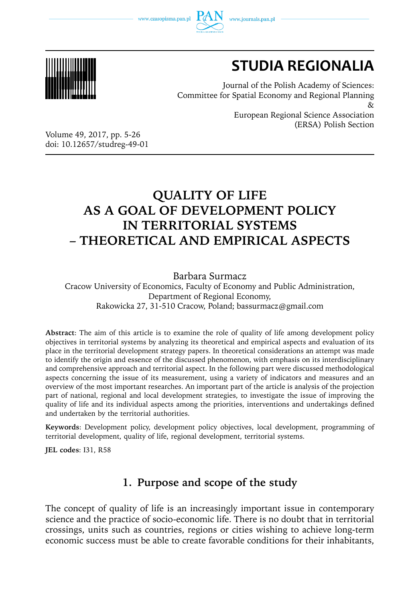www.czasopisma.pan.pl





# **STUDIA REGIONALIA**

Journal of the Polish Academy of Sciences: Committee for Spatial Economy and Regional Planning  $\chi$ European Regional Science Association (ERSA) Polish Section

Volume 49, 2017, pp. 5-26 doi: 10.12657/studreg-49-01

## **QUALITY OF LIFE AS A GOAL OF DEVELOPMENT POLICY IN TERRITORIAL SYSTEMS – THEORETICAL AND EMPIRICAL ASPECTS**

Barbara Surmacz

Cracow University of Economics, Faculty of Economy and Public Administration, Department of Regional Economy, Rakowicka 27, 31-510 Cracow, Poland; bassurmacz@gmail.com

**Abstract**: The aim of this article is to examine the role of quality of life among development policy objectives in territorial systems by analyzing its theoretical and empirical aspects and evaluation of its place in the territorial development strategy papers. In theoretical considerations an attempt was made to identify the origin and essence of the discussed phenomenon, with emphasis on its interdisciplinary and comprehensive approach and territorial aspect. In the following part were discussed methodological aspects concerning the issue of its measurement, using a variety of indicators and measures and an overview of the most important researches. An important part of the article is analysis of the projection part of national, regional and local development strategies, to investigate the issue of improving the quality of life and its individual aspects among the priorities, interventions and undertakings defined and undertaken by the territorial authorities.

**Keywords**: Development policy, development policy objectives, local development, programming of territorial development, quality of life, regional development, territorial systems.

**JEL codes**: I31, R58

### **1. Purpose and scope of the study**

The concept of quality of life is an increasingly important issue in contemporary science and the practice of socio-economic life. There is no doubt that in territorial crossings, units such as countries, regions or cities wishing to achieve long-term economic success must be able to create favorable conditions for their inhabitants,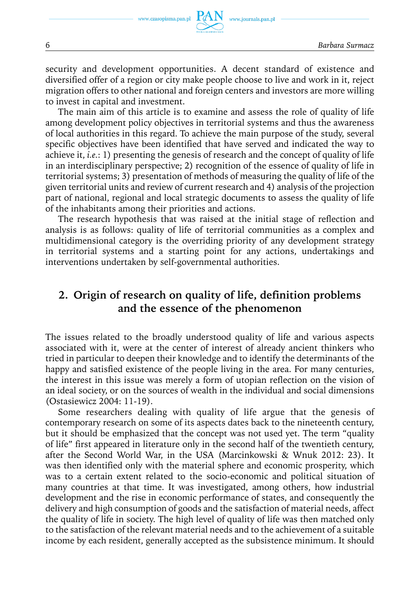security and development opportunities. A decent standard of existence and diversified offer of a region or city make people choose to live and work in it, reject migration offers to other national and foreign centers and investors are more willing to invest in capital and investment.

The main aim of this article is to examine and assess the role of quality of life among development policy objectives in territorial systems and thus the awareness of local authorities in this regard. To achieve the main purpose of the study, several specific objectives have been identified that have served and indicated the way to achieve it, *i.e.*: 1) presenting the genesis of research and the concept of quality of life in an interdisciplinary perspective; 2) recognition of the essence of quality of life in territorial systems; 3) presentation of methods of measuring the quality of life of the given territorial units and review of current research and 4) analysis of the projection part of national, regional and local strategic documents to assess the quality of life of the inhabitants among their priorities and actions.

The research hypothesis that was raised at the initial stage of reflection and analysis is as follows: quality of life of territorial communities as a complex and multidimensional category is the overriding priority of any development strategy in territorial systems and a starting point for any actions, undertakings and interventions undertaken by self-governmental authorities.

### **2. Origin of research on quality of life, definition problems and the essence of the phenomenon**

The issues related to the broadly understood quality of life and various aspects associated with it, were at the center of interest of already ancient thinkers who tried in particular to deepen their knowledge and to identify the determinants of the happy and satisfied existence of the people living in the area. For many centuries, the interest in this issue was merely a form of utopian reflection on the vision of an ideal society, or on the sources of wealth in the individual and social dimensions (Ostasiewicz 2004: 11-19).

Some researchers dealing with quality of life argue that the genesis of contemporary research on some of its aspects dates back to the nineteenth century, but it should be emphasized that the concept was not used yet. The term "quality of life" first appeared in literature only in the second half of the twentieth century, after the Second World War, in the USA (Marcinkowski & Wnuk 2012: 23). It was then identified only with the material sphere and economic prosperity, which was to a certain extent related to the socio-economic and political situation of many countries at that time. It was investigated, among others, how industrial development and the rise in economic performance of states, and consequently the delivery and high consumption of goods and the satisfaction of material needs, affect the quality of life in society. The high level of quality of life was then matched only to the satisfaction of the relevant material needs and to the achievement of a suitable income by each resident, generally accepted as the subsistence minimum. It should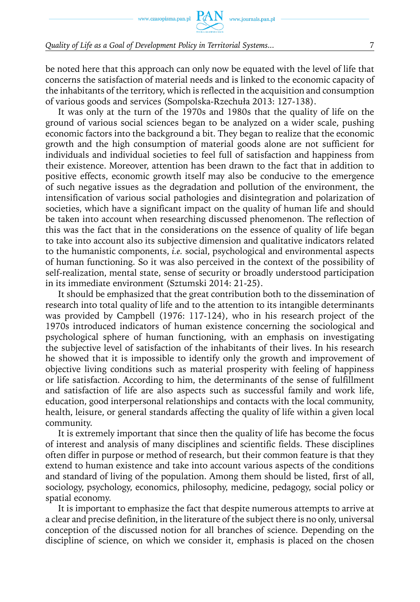be noted here that this approach can only now be equated with the level of life that concerns the satisfaction of material needs and is linked to the economic capacity of the inhabitants of the territory, which is reflected in the acquisition and consumption of various goods and services (Sompolska-Rzechuła 2013: 127-138).

It was only at the turn of the 1970s and 1980s that the quality of life on the ground of various social sciences began to be analyzed on a wider scale, pushing economic factors into the background a bit. They began to realize that the economic growth and the high consumption of material goods alone are not sufficient for individuals and individual societies to feel full of satisfaction and happiness from their existence. Moreover, attention has been drawn to the fact that in addition to positive effects, economic growth itself may also be conducive to the emergence of such negative issues as the degradation and pollution of the environment, the intensification of various social pathologies and disintegration and polarization of societies, which have a significant impact on the quality of human life and should be taken into account when researching discussed phenomenon. The reflection of this was the fact that in the considerations on the essence of quality of life began to take into account also its subjective dimension and qualitative indicators related to the humanistic components, *i.e.* social, psychological and environmental aspects of human functioning. So it was also perceived in the context of the possibility of self-realization, mental state, sense of security or broadly understood participation in its immediate environment (Sztumski 2014: 21-25).

It should be emphasized that the great contribution both to the dissemination of research into total quality of life and to the attention to its intangible determinants was provided by Campbell (1976: 117-124), who in his research project of the 1970s introduced indicators of human existence concerning the sociological and psychological sphere of human functioning, with an emphasis on investigating the subjective level of satisfaction of the inhabitants of their lives. In his research he showed that it is impossible to identify only the growth and improvement of objective living conditions such as material prosperity with feeling of happiness or life satisfaction. According to him, the determinants of the sense of fulfillment and satisfaction of life are also aspects such as successful family and work life, education, good interpersonal relationships and contacts with the local community, health, leisure, or general standards affecting the quality of life within a given local community.

It is extremely important that since then the quality of life has become the focus of interest and analysis of many disciplines and scientific fields. These disciplines often differ in purpose or method of research, but their common feature is that they extend to human existence and take into account various aspects of the conditions and standard of living of the population. Among them should be listed, first of all, sociology, psychology, economics, philosophy, medicine, pedagogy, social policy or spatial economy.

It is important to emphasize the fact that despite numerous attempts to arrive at a clear and precise definition, in the literature of the subject there is no only, universal conception of the discussed notion for all branches of science. Depending on the discipline of science, on which we consider it, emphasis is placed on the chosen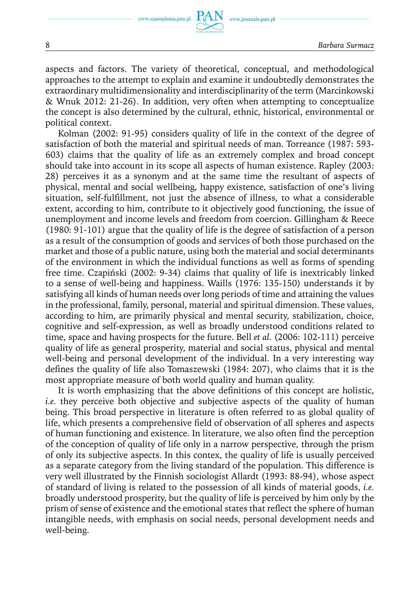aspects and factors. The variety of theoretical, conceptual, and methodological approaches to the attempt to explain and examine it undoubtedly demonstrates the extraordinary multidimensionality and interdisciplinarity of the term (Marcinkowski & Wnuk 2012: 21-26). In addition, very often when attempting to conceptualize the concept is also determined by the cultural, ethnic, historical, environmental or political context.

Kolman (2002: 91-95) considers quality of life in the context of the degree of satisfaction of both the material and spiritual needs of man. Torreance (1987: 593- 603) claims that the quality of life as an extremely complex and broad concept should take into account in its scope all aspects of human existence. Rapley (2003: 28) perceives it as a synonym and at the same time the resultant of aspects of physical, mental and social wellbeing, happy existence, satisfaction of one's living situation, self-fulfillment, not just the absence of illness, to what a considerable extent, according to him, contribute to it objectively good functioning, the issue of unemployment and income levels and freedom from coercion. Gillingham & Reece (1980: 91-101) argue that the quality of life is the degree of satisfaction of a person as a result of the consumption of goods and services of both those purchased on the market and those of a public nature, using both the material and social determinants of the environment in which the individual functions as well as forms of spending free time. Czapiński (2002: 9-34) claims that quality of life is inextricably linked to a sense of well-being and happiness. Waills (1976: 135-150) understands it by satisfying all kinds of human needs over long periods of time and attaining the values in the professional, family, personal, material and spiritual dimension. These values, according to him, are primarily physical and mental security, stabilization, choice, cognitive and self-expression, as well as broadly understood conditions related to time, space and having prospects for the future. Bell *et al.* (2006: 102-111) perceive quality of life as general prosperity, material and social status, physical and mental well-being and personal development of the individual. In a very interesting way defines the quality of life also Tomaszewski (1984: 207), who claims that it is the most appropriate measure of both world quality and human quality.

It is worth emphasizing that the above definitions of this concept are holistic, *i.e.* they perceive both objective and subjective aspects of the quality of human being. This broad perspective in literature is often referred to as global quality of life, which presents a comprehensive field of observation of all spheres and aspects of human functioning and existence. In literature, we also often find the perception of the conception of quality of life only in a narrow perspective, through the prism of only its subjective aspects. In this contex, the quality of life is usually perceived as a separate category from the living standard of the population. This difference is very well illustrated by the Finnish sociologist Allardt (1993: 88-94), whose aspect of standard of living is related to the possession of all kinds of material goods, *i.e.* broadly understood prosperity, but the quality of life is perceived by him only by the prism of sense of existence and the emotional states that reflect the sphere of human intangible needs, with emphasis on social needs, personal development needs and well-being.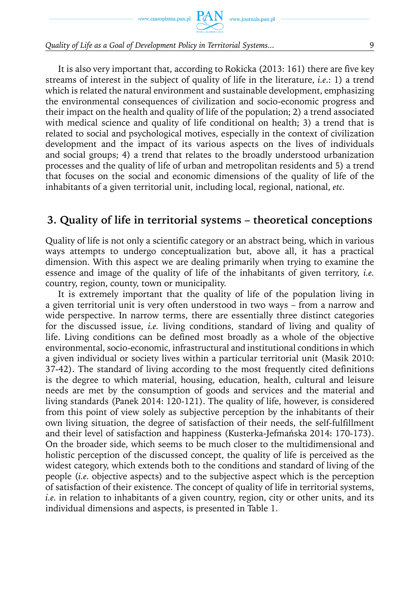It is also very important that, according to Rokicka (2013: 161) there are five key streams of interest in the subject of quality of life in the literature, *i.e*.: 1) a trend which is related the natural environment and sustainable development, emphasizing the environmental consequences of civilization and socio-economic progress and their impact on the health and quality of life of the population; 2) a trend associated with medical science and quality of life conditional on health; 3) a trend that is related to social and psychological motives, especially in the context of civilization development and the impact of its various aspects on the lives of individuals and social groups; 4) a trend that relates to the broadly understood urbanization processes and the quality of life of urban and metropolitan residents and 5) a trend that focuses on the social and economic dimensions of the quality of life of the inhabitants of a given territorial unit, including local, regional, national, *etc.*

### **3. Quality of life in territorial systems – theoretical conceptions**

Quality of life is not only a scientific category or an abstract being, which in various ways attempts to undergo conceptualization but, above all, it has a practical dimension. With this aspect we are dealing primarily when trying to examine the essence and image of the quality of life of the inhabitants of given territory, *i.e.* country, region, county, town or municipality.

It is extremely important that the quality of life of the population living in a given territorial unit is very often understood in two ways – from a narrow and wide perspective. In narrow terms, there are essentially three distinct categories for the discussed issue, *i.e.* living conditions, standard of living and quality of life. Living conditions can be defined most broadly as a whole of the objective environmental, socio-economic, infrastructural and institutional conditions in which a given individual or society lives within a particular territorial unit (Masik 2010: 37-42). The standard of living according to the most frequently cited definitions is the degree to which material, housing, education, health, cultural and leisure needs are met by the consumption of goods and services and the material and living standards (Panek 2014: 120-121). The quality of life, however, is considered from this point of view solely as subjective perception by the inhabitants of their own living situation, the degree of satisfaction of their needs, the self-fulfillment and their level of satisfaction and happiness (Kusterka-Jefmańska 2014: 170-173). On the broader side, which seems to be much closer to the multidimensional and holistic perception of the discussed concept, the quality of life is perceived as the widest category, which extends both to the conditions and standard of living of the people (*i.e.* objective aspects) and to the subjective aspect which is the perception of satisfaction of their existence. The concept of quality of life in territorial systems, *i.e.* in relation to inhabitants of a given country, region, city or other units, and its individual dimensions and aspects, is presented in Table 1.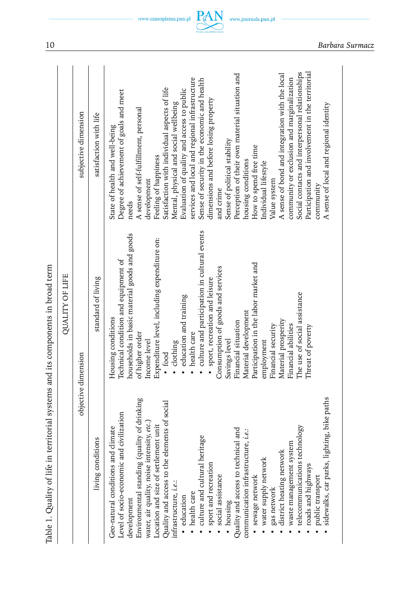| - 22.45 |
|---------|
|         |
|         |
|         |
|         |
|         |
|         |
|         |
|         |
| :       |
| ۱       |
|         |
| ١       |

| Table 1. Quality of life in territorial systems and its components in broad term                                                                                                                                                                                                                                                                                                                                                                                                                                                                                                                                                                                                                                                                                                |                                                                                                                                                                                                                                                                                                                                                                                                                                                                                                                                                                                                                                          |                                                                                                                                                                                                                                                                                                                                                                                                                                                                                                                                                                                                                                                                                                                                                                                                                                                                                                           |
|---------------------------------------------------------------------------------------------------------------------------------------------------------------------------------------------------------------------------------------------------------------------------------------------------------------------------------------------------------------------------------------------------------------------------------------------------------------------------------------------------------------------------------------------------------------------------------------------------------------------------------------------------------------------------------------------------------------------------------------------------------------------------------|------------------------------------------------------------------------------------------------------------------------------------------------------------------------------------------------------------------------------------------------------------------------------------------------------------------------------------------------------------------------------------------------------------------------------------------------------------------------------------------------------------------------------------------------------------------------------------------------------------------------------------------|-----------------------------------------------------------------------------------------------------------------------------------------------------------------------------------------------------------------------------------------------------------------------------------------------------------------------------------------------------------------------------------------------------------------------------------------------------------------------------------------------------------------------------------------------------------------------------------------------------------------------------------------------------------------------------------------------------------------------------------------------------------------------------------------------------------------------------------------------------------------------------------------------------------|
|                                                                                                                                                                                                                                                                                                                                                                                                                                                                                                                                                                                                                                                                                                                                                                                 | <b>QUALITY OF LIFE</b>                                                                                                                                                                                                                                                                                                                                                                                                                                                                                                                                                                                                                   |                                                                                                                                                                                                                                                                                                                                                                                                                                                                                                                                                                                                                                                                                                                                                                                                                                                                                                           |
|                                                                                                                                                                                                                                                                                                                                                                                                                                                                                                                                                                                                                                                                                                                                                                                 | objective dimension                                                                                                                                                                                                                                                                                                                                                                                                                                                                                                                                                                                                                      | subjective dimension                                                                                                                                                                                                                                                                                                                                                                                                                                                                                                                                                                                                                                                                                                                                                                                                                                                                                      |
| living conditions                                                                                                                                                                                                                                                                                                                                                                                                                                                                                                                                                                                                                                                                                                                                                               | standard of living                                                                                                                                                                                                                                                                                                                                                                                                                                                                                                                                                                                                                       | satisfaction with life                                                                                                                                                                                                                                                                                                                                                                                                                                                                                                                                                                                                                                                                                                                                                                                                                                                                                    |
| lighting, bike paths<br>quality of drinking<br>elements of social<br>Level of socio-economic and civilization<br>water, air quality, noise intensity, etc.)<br>Location and size of settlement unit<br>technology<br>Geo-natural conditions and climate<br>Quality and access to technical and<br>communication infrastructure, i.e.:<br>heritage<br>waste management system<br>district heating network<br>water supply network<br>Quality and access to the<br>Environmental standing<br>culture and cultural l<br>telecommunications<br>sidewalks, car parks,<br>sport and recreation<br>social assistance<br>roads and highways<br>sewage network<br>public transport<br>infrastructure, <i>i.e.</i> :<br>gas network<br>health care<br>education<br>development<br>housing | · culture and participation in cultural events<br>households in basic material goods and goods<br>Expenditure level, including expenditure on:<br>Technical condition and equipment of<br>Participation in the labor market and<br>Consumption of goods and services<br>· sport, recreation and leisure<br>The use of social assistance<br>education and training<br>Material development<br>Housing conditions<br>Material prosperity<br>Financial situation<br>Financial abilities<br>Financial security<br>Threat of poverty<br>health care<br>of higher order<br>employment<br>Savings level<br>Income level<br>· clothing<br>• food | Social contacts and interpersonal relationships<br>Participation and involvement in the territorial<br>Perception of their own material situation and<br>A sense of bond and integration with the local<br>services and local and regional infrastructure<br>community or exclusion and marginalization<br>Sense of security in the economic and health<br>Satisfaction with individual aspects of life<br>Evaluation of quality and access to public<br>Degree of achievement of goals and meet<br>dimensions and before losing property<br>Mental, physical and social wellbeing<br>A sense of local and regional identity<br>A sense of self-fulfillment, personal<br>State of health and well-being<br>Sense of political stability<br>How to spend free time<br>Feeling of happiness<br>housing conditions<br>Individual lifestyle<br>Value system<br>development<br>community<br>and crime<br>needs |
|                                                                                                                                                                                                                                                                                                                                                                                                                                                                                                                                                                                                                                                                                                                                                                                 |                                                                                                                                                                                                                                                                                                                                                                                                                                                                                                                                                                                                                                          |                                                                                                                                                                                                                                                                                                                                                                                                                                                                                                                                                                                                                                                                                                                                                                                                                                                                                                           |

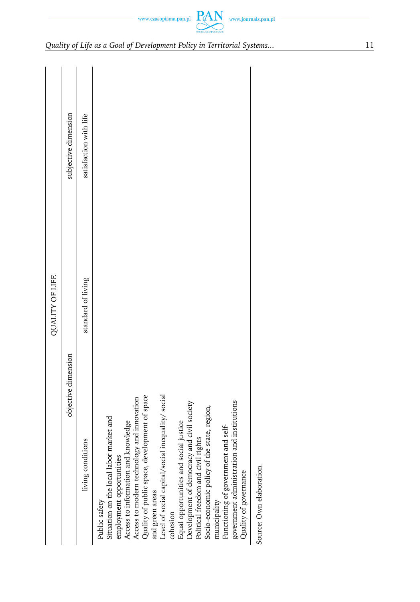|                                                                                                                                                                                                                                                                                                                                                                                                                                                                                                                                                                                                                              | <b>QUALITY OF LIFE</b> |                        |
|------------------------------------------------------------------------------------------------------------------------------------------------------------------------------------------------------------------------------------------------------------------------------------------------------------------------------------------------------------------------------------------------------------------------------------------------------------------------------------------------------------------------------------------------------------------------------------------------------------------------------|------------------------|------------------------|
| objective dimension                                                                                                                                                                                                                                                                                                                                                                                                                                                                                                                                                                                                          |                        | subjective dimension   |
| living conditions                                                                                                                                                                                                                                                                                                                                                                                                                                                                                                                                                                                                            | standard of living     | satisfaction with life |
| Quality of public space, development of space<br>Level of social capital/social inequality/ social<br>Access to modern technology and innovation<br>government administration and institutions<br>Development of democracy and civil society<br>Socio-economic policy of the state, region,<br>Situation on the local labor market and<br>Access to information and knowledge<br>social justice<br>Functioning of government and self-<br>Political freedom and civil rights<br>employment opportunities<br>Equal opportunities and<br>Quality of governance<br>and green areas<br>municipality<br>Public safety<br>cohesion |                        |                        |
| Source: Own elaboration.                                                                                                                                                                                                                                                                                                                                                                                                                                                                                                                                                                                                     |                        |                        |

 $\begin{picture}(120,110) \put(0,0){\vector(1,0){100}} \put(15,0){\vector(1,0){100}} \put(15,0){\vector(1,0){100}} \put(15,0){\vector(1,0){100}} \put(15,0){\vector(1,0){100}} \put(15,0){\vector(1,0){100}} \put(15,0){\vector(1,0){100}} \put(15,0){\vector(1,0){100}} \put(15,0){\vector(1,0){100}} \put(15,0){\vector(1,0){100}} \put(15,0){\vector(1,0){100$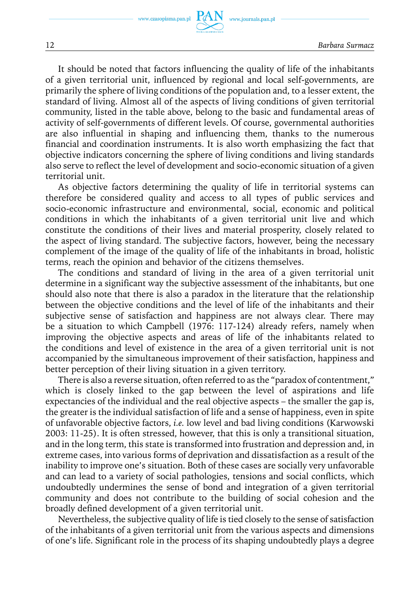It should be noted that factors influencing the quality of life of the inhabitants of a given territorial unit, influenced by regional and local self-governments, are primarily the sphere of living conditions of the population and, to a lesser extent, the standard of living. Almost all of the aspects of living conditions of given territorial community, listed in the table above, belong to the basic and fundamental areas of activity of self-governments of different levels. Of course, governmental authorities are also influential in shaping and influencing them, thanks to the numerous financial and coordination instruments. It is also worth emphasizing the fact that objective indicators concerning the sphere of living conditions and living standards also serve to reflect the level of development and socio-economic situation of a given territorial unit.

As objective factors determining the quality of life in territorial systems can therefore be considered quality and access to all types of public services and socio-economic infrastructure and environmental, social, economic and political conditions in which the inhabitants of a given territorial unit live and which constitute the conditions of their lives and material prosperity, closely related to the aspect of living standard. The subjective factors, however, being the necessary complement of the image of the quality of life of the inhabitants in broad, holistic terms, reach the opinion and behavior of the citizens themselves.

The conditions and standard of living in the area of a given territorial unit determine in a significant way the subjective assessment of the inhabitants, but one should also note that there is also a paradox in the literature that the relationship between the objective conditions and the level of life of the inhabitants and their subjective sense of satisfaction and happiness are not always clear. There may be a situation to which Campbell (1976: 117-124) already refers, namely when improving the objective aspects and areas of life of the inhabitants related to the conditions and level of existence in the area of a given territorial unit is not accompanied by the simultaneous improvement of their satisfaction, happiness and better perception of their living situation in a given territory.

There is also a reverse situation, often referred to as the "paradox of contentment," which is closely linked to the gap between the level of aspirations and life expectancies of the individual and the real objective aspects – the smaller the gap is, the greater is the individual satisfaction of life and a sense of happiness, even in spite of unfavorable objective factors, *i.e.* low level and bad living conditions (Karwowski 2003: 11-25). It is often stressed, however, that this is only a transitional situation, and in the long term, this state is transformed into frustration and depression and, in extreme cases, into various forms of deprivation and dissatisfaction as a result of the inability to improve one's situation. Both of these cases are socially very unfavorable and can lead to a variety of social pathologies, tensions and social conflicts, which undoubtedly undermines the sense of bond and integration of a given territorial community and does not contribute to the building of social cohesion and the broadly defined development of a given territorial unit.

Nevertheless, the subjective quality of life is tied closely to the sense of satisfaction of the inhabitants of a given territorial unit from the various aspects and dimensions of one's life. Significant role in the process of its shaping undoubtedly plays a degree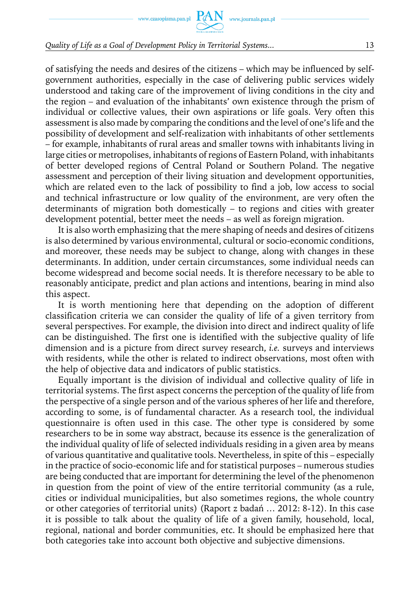of satisfying the needs and desires of the citizens – which may be influenced by selfgovernment authorities, especially in the case of delivering public services widely understood and taking care of the improvement of living conditions in the city and the region – and evaluation of the inhabitants' own existence through the prism of individual or collective values, their own aspirations or life goals. Very often this assessment is also made by comparing the conditions and the level of one's life and the possibility of development and self-realization with inhabitants of other settlements – for example, inhabitants of rural areas and smaller towns with inhabitants living in large cities or metropolises, inhabitants of regions of Eastern Poland, with inhabitants of better developed regions of Central Poland or Southern Poland. The negative assessment and perception of their living situation and development opportunities, which are related even to the lack of possibility to find a job, low access to social and technical infrastructure or low quality of the environment, are very often the determinants of migration both domestically – to regions and cities with greater development potential, better meet the needs – as well as foreign migration.

It is also worth emphasizing that the mere shaping of needs and desires of citizens is also determined by various environmental, cultural or socio-economic conditions, and moreover, these needs may be subject to change, along with changes in these determinants. In addition, under certain circumstances, some individual needs can become widespread and become social needs. It is therefore necessary to be able to reasonably anticipate, predict and plan actions and intentions, bearing in mind also this aspect.

It is worth mentioning here that depending on the adoption of different classification criteria we can consider the quality of life of a given territory from several perspectives. For example, the division into direct and indirect quality of life can be distinguished. The first one is identified with the subjective quality of life dimension and is a picture from direct survey research, *i.e.* surveys and interviews with residents, while the other is related to indirect observations, most often with the help of objective data and indicators of public statistics.

Equally important is the division of individual and collective quality of life in territorial systems. The first aspect concerns the perception of the quality of life from the perspective of a single person and of the various spheres of her life and therefore, according to some, is of fundamental character. As a research tool, the individual questionnaire is often used in this case. The other type is considered by some researchers to be in some way abstract, because its essence is the generalization of the individual quality of life of selected individuals residing in a given area by means of various quantitative and qualitative tools. Nevertheless, in spite of this – especially in the practice of socio-economic life and for statistical purposes – numerous studies are being conducted that are important for determining the level of the phenomenon in question from the point of view of the entire territorial community (as a rule, cities or individual municipalities, but also sometimes regions, the whole country or other categories of territorial units) (Raport z badań … 2012: 8-12). In this case it is possible to talk about the quality of life of a given family, household, local, regional, national and border communities, etc. It should be emphasized here that both categories take into account both objective and subjective dimensions.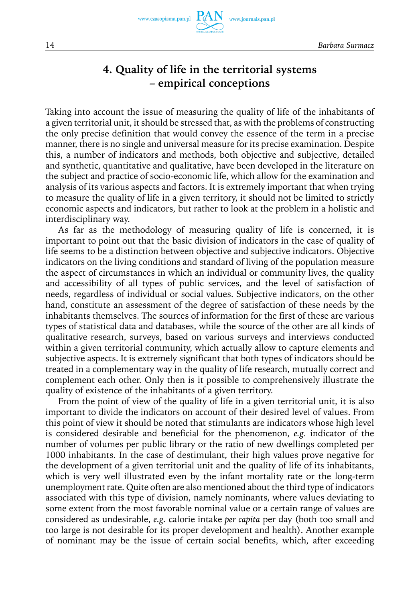www.czasopisma.pan.pl

www.journals.pan.pl

### **4. Quality of life in the territorial systems – empirical conceptions**

Taking into account the issue of measuring the quality of life of the inhabitants of a given territorial unit, it should be stressed that, as with the problems of constructing the only precise definition that would convey the essence of the term in a precise manner, there is no single and universal measure for its precise examination. Despite this, a number of indicators and methods, both objective and subjective, detailed and synthetic, quantitative and qualitative, have been developed in the literature on the subject and practice of socio-economic life, which allow for the examination and analysis of its various aspects and factors. It is extremely important that when trying to measure the quality of life in a given territory, it should not be limited to strictly economic aspects and indicators, but rather to look at the problem in a holistic and interdisciplinary way.

As far as the methodology of measuring quality of life is concerned, it is important to point out that the basic division of indicators in the case of quality of life seems to be a distinction between objective and subjective indicators. Objective indicators on the living conditions and standard of living of the population measure the aspect of circumstances in which an individual or community lives, the quality and accessibility of all types of public services, and the level of satisfaction of needs, regardless of individual or social values. Subjective indicators, on the other hand, constitute an assessment of the degree of satisfaction of these needs by the inhabitants themselves. The sources of information for the first of these are various types of statistical data and databases, while the source of the other are all kinds of qualitative research, surveys, based on various surveys and interviews conducted within a given territorial community, which actually allow to capture elements and subjective aspects. It is extremely significant that both types of indicators should be treated in a complementary way in the quality of life research, mutually correct and complement each other. Only then is it possible to comprehensively illustrate the quality of existence of the inhabitants of a given territory.

From the point of view of the quality of life in a given territorial unit, it is also important to divide the indicators on account of their desired level of values. From this point of view it should be noted that stimulants are indicators whose high level is considered desirable and beneficial for the phenomenon, *e.g.* indicator of the number of volumes per public library or the ratio of new dwellings completed per 1000 inhabitants. In the case of destimulant, their high values prove negative for the development of a given territorial unit and the quality of life of its inhabitants, which is very well illustrated even by the infant mortality rate or the long-term unemployment rate. Quite often are also mentioned about the third type of indicators associated with this type of division, namely nominants, where values deviating to some extent from the most favorable nominal value or a certain range of values are considered as undesirable, *e.g.* calorie intake *per capita* per day (both too small and too large is not desirable for its proper development and health). Another example of nominant may be the issue of certain social benefits, which, after exceeding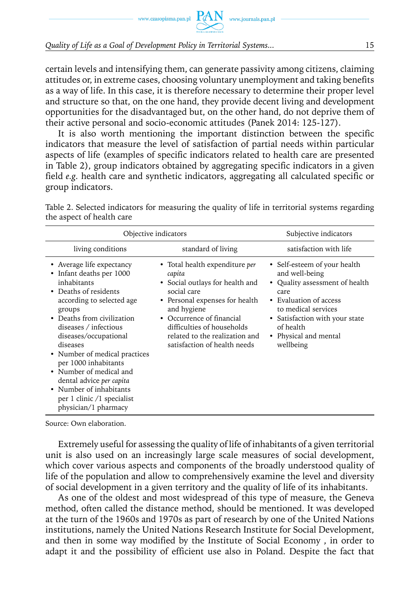certain levels and intensifying them, can generate passivity among citizens, claiming attitudes or, in extreme cases, choosing voluntary unemployment and taking benefits as a way of life. In this case, it is therefore necessary to determine their proper level and structure so that, on the one hand, they provide decent living and development opportunities for the disadvantaged but, on the other hand, do not deprive them of their active personal and socio-economic attitudes (Panek 2014: 125-127).

It is also worth mentioning the important distinction between the specific indicators that measure the level of satisfaction of partial needs within particular aspects of life (examples of specific indicators related to health care are presented in Table 2), group indicators obtained by aggregating specific indicators in a given field *e.g.* health care and synthetic indicators, aggregating all calculated specific or group indicators.

| Objective indicators                                                                                                                                                                                                                                                                                                                                                                                                                 |                                                                                                                                                                                                                                                                               | Subjective indicators                                                                                                                                                                                                          |
|--------------------------------------------------------------------------------------------------------------------------------------------------------------------------------------------------------------------------------------------------------------------------------------------------------------------------------------------------------------------------------------------------------------------------------------|-------------------------------------------------------------------------------------------------------------------------------------------------------------------------------------------------------------------------------------------------------------------------------|--------------------------------------------------------------------------------------------------------------------------------------------------------------------------------------------------------------------------------|
|                                                                                                                                                                                                                                                                                                                                                                                                                                      |                                                                                                                                                                                                                                                                               |                                                                                                                                                                                                                                |
| living conditions                                                                                                                                                                                                                                                                                                                                                                                                                    | standard of living                                                                                                                                                                                                                                                            | satisfaction with life                                                                                                                                                                                                         |
| Average life expectancy<br>٠<br>• Infant deaths per 1000<br>inhabitants<br>• Deaths of residents<br>according to selected age<br>groups<br>• Deaths from civilization<br>diseases / infectious<br>diseases/occupational<br>diseases<br>• Number of medical practices<br>per 1000 inhabitants<br>• Number of medical and<br>dental advice per capita<br>• Number of inhabitants<br>per 1 clinic /1 specialist<br>physician/1 pharmacy | • Total health expenditure <i>per</i><br>capita<br>• Social outlays for health and<br>social care<br>• Personal expenses for health<br>and hygiene<br>Occurrence of financial<br>difficulties of households<br>related to the realization and<br>satisfaction of health needs | • Self-esteem of your health<br>and well-being<br>• Quality assessment of health<br>care<br>• Evaluation of access<br>to medical services<br>• Satisfaction with your state<br>of health<br>• Physical and mental<br>wellbeing |

Table 2. Selected indicators for measuring the quality of life in territorial systems regarding the aspect of health care

Source: Own elaboration.

Extremely useful for assessing the quality of life of inhabitants of a given territorial unit is also used on an increasingly large scale measures of social development, which cover various aspects and components of the broadly understood quality of life of the population and allow to comprehensively examine the level and diversity of social development in a given territory and the quality of life of its inhabitants.

As one of the oldest and most widespread of this type of measure, the Geneva method, often called the distance method, should be mentioned. It was developed at the turn of the 1960s and 1970s as part of research by one of the United Nations institutions, namely the United Nations Research Institute for Social Development, and then in some way modified by the Institute of Social Economy , in order to adapt it and the possibility of efficient use also in Poland. Despite the fact that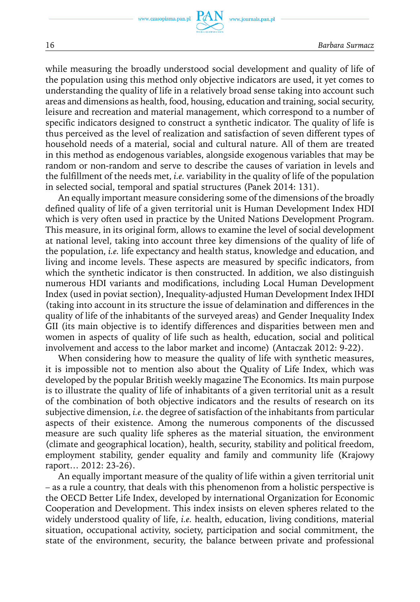while measuring the broadly understood social development and quality of life of the population using this method only objective indicators are used, it yet comes to understanding the quality of life in a relatively broad sense taking into account such areas and dimensions as health, food, housing, education and training, social security, leisure and recreation and material management, which correspond to a number of specific indicators designed to construct a synthetic indicator. The quality of life is thus perceived as the level of realization and satisfaction of seven different types of household needs of a material, social and cultural nature. All of them are treated in this method as endogenous variables, alongside exogenous variables that may be random or non-random and serve to describe the causes of variation in levels and the fulfillment of the needs met, *i.e.* variability in the quality of life of the population in selected social, temporal and spatial structures (Panek 2014: 131).

An equally important measure considering some of the dimensions of the broadly defined quality of life of a given territorial unit is Human Development Index HDI which is very often used in practice by the United Nations Development Program. This measure, in its original form, allows to examine the level of social development at national level, taking into account three key dimensions of the quality of life of the population, *i.e.* life expectancy and health status, knowledge and education, and living and income levels. These aspects are measured by specific indicators, from which the synthetic indicator is then constructed. In addition, we also distinguish numerous HDI variants and modifications, including Local Human Development Index (used in poviat section), Inequality-adjusted Human Development Index IHDI (taking into account in its structure the issue of delamination and differences in the quality of life of the inhabitants of the surveyed areas) and Gender Inequality Index GII (its main objective is to identify differences and disparities between men and women in aspects of quality of life such as health, education, social and political involvement and access to the labor market and income) (Antaczak 2012: 9-22).

When considering how to measure the quality of life with synthetic measures, it is impossible not to mention also about the Quality of Life Index, which was developed by the popular British weekly magazine The Economics. Its main purpose is to illustrate the quality of life of inhabitants of a given territorial unit as a result of the combination of both objective indicators and the results of research on its subjective dimension, *i.e*. the degree of satisfaction of the inhabitants from particular aspects of their existence. Among the numerous components of the discussed measure are such quality life spheres as the material situation, the environment (climate and geographical location), health, security, stability and political freedom, employment stability, gender equality and family and community life (Krajowy raport… 2012: 23-26).

An equally important measure of the quality of life within a given territorial unit – as a rule a country, that deals with this phenomenon from a holistic perspective is the OECD Better Life Index, developed by international Organization for Economic Cooperation and Development. This index insists on eleven spheres related to the widely understood quality of life, *i.e.* health, education, living conditions, material situation, occupational activity, society, participation and social commitment, the state of the environment, security, the balance between private and professional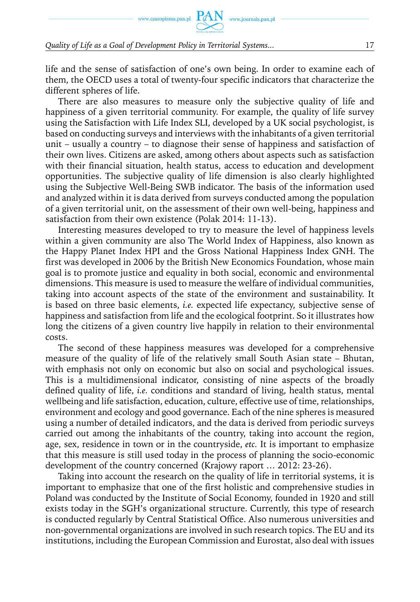life and the sense of satisfaction of one's own being. In order to examine each of them, the OECD uses a total of twenty-four specific indicators that characterize the different spheres of life.

There are also measures to measure only the subjective quality of life and happiness of a given territorial community. For example, the quality of life survey using the Satisfaction with Life Index SLI, developed by a UK social psychologist, is based on conducting surveys and interviews with the inhabitants of a given territorial unit – usually a country – to diagnose their sense of happiness and satisfaction of their own lives. Citizens are asked, among others about aspects such as satisfaction with their financial situation, health status, access to education and development opportunities. The subjective quality of life dimension is also clearly highlighted using the Subjective Well-Being SWB indicator. The basis of the information used and analyzed within it is data derived from surveys conducted among the population of a given territorial unit, on the assessment of their own well-being, happiness and satisfaction from their own existence (Polak 2014: 11-13).

Interesting measures developed to try to measure the level of happiness levels within a given community are also The World Index of Happiness, also known as the Happy Planet Index HPI and the Gross National Happiness Index GNH. The first was developed in 2006 by the British New Economics Foundation, whose main goal is to promote justice and equality in both social, economic and environmental dimensions. This measure is used to measure the welfare of individual communities, taking into account aspects of the state of the environment and sustainability. It is based on three basic elements, *i.e.* expected life expectancy, subjective sense of happiness and satisfaction from life and the ecological footprint. So it illustrates how long the citizens of a given country live happily in relation to their environmental costs.

The second of these happiness measures was developed for a comprehensive measure of the quality of life of the relatively small South Asian state – Bhutan, with emphasis not only on economic but also on social and psychological issues. This is a multidimensional indicator, consisting of nine aspects of the broadly defined quality of life, *i.e.* conditions and standard of living, health status, mental wellbeing and life satisfaction, education, culture, effective use of time, relationships, environment and ecology and good governance. Each of the nine spheres is measured using a number of detailed indicators, and the data is derived from periodic surveys carried out among the inhabitants of the country, taking into account the region, age, sex, residence in town or in the countryside, *etc.* It is important to emphasize that this measure is still used today in the process of planning the socio-economic development of the country concerned (Krajowy raport … 2012: 23-26).

Taking into account the research on the quality of life in territorial systems, it is important to emphasize that one of the first holistic and comprehensive studies in Poland was conducted by the Institute of Social Economy, founded in 1920 and still exists today in the SGH's organizational structure. Currently, this type of research is conducted regularly by Central Statistical Office. Also numerous universities and non-governmental organizations are involved in such research topics. The EU and its institutions, including the European Commission and Eurostat, also deal with issues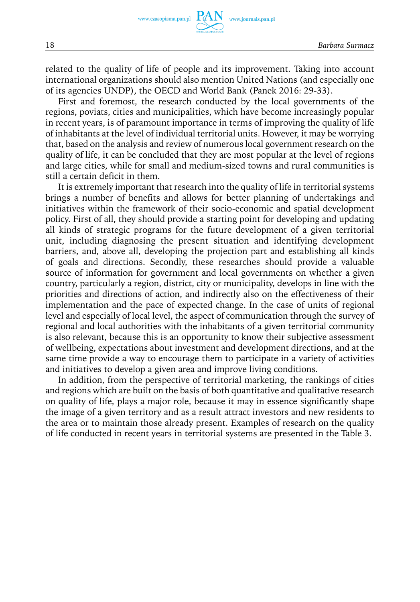related to the quality of life of people and its improvement. Taking into account international organizations should also mention United Nations (and especially one of its agencies UNDP), the OECD and World Bank (Panek 2016: 29-33).

First and foremost, the research conducted by the local governments of the regions, poviats, cities and municipalities, which have become increasingly popular in recent years, is of paramount importance in terms of improving the quality of life of inhabitants at the level of individual territorial units. However, it may be worrying that, based on the analysis and review of numerous local government research on the quality of life, it can be concluded that they are most popular at the level of regions and large cities, while for small and medium-sized towns and rural communities is still a certain deficit in them.

It is extremely important that research into the quality of life in territorial systems brings a number of benefits and allows for better planning of undertakings and initiatives within the framework of their socio-economic and spatial development policy. First of all, they should provide a starting point for developing and updating all kinds of strategic programs for the future development of a given territorial unit, including diagnosing the present situation and identifying development barriers, and, above all, developing the projection part and establishing all kinds of goals and directions. Secondly, these researches should provide a valuable source of information for government and local governments on whether a given country, particularly a region, district, city or municipality, develops in line with the priorities and directions of action, and indirectly also on the effectiveness of their implementation and the pace of expected change. In the case of units of regional level and especially of local level, the aspect of communication through the survey of regional and local authorities with the inhabitants of a given territorial community is also relevant, because this is an opportunity to know their subjective assessment of wellbeing, expectations about investment and development directions, and at the same time provide a way to encourage them to participate in a variety of activities and initiatives to develop a given area and improve living conditions.

In addition, from the perspective of territorial marketing, the rankings of cities and regions which are built on the basis of both quantitative and qualitative research on quality of life, plays a major role, because it may in essence significantly shape the image of a given territory and as a result attract investors and new residents to the area or to maintain those already present. Examples of research on the quality of life conducted in recent years in territorial systems are presented in the Table 3.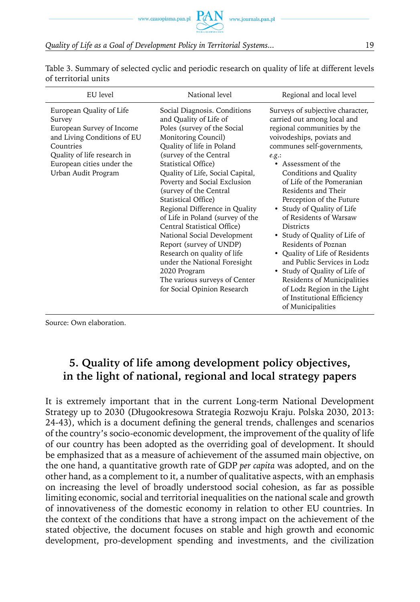Table 3. Summary of selected cyclic and periodic research on quality of life at different levels of territorial units

| EU level                                                                                                                                                                                       | National level                                                                                                                                                                                                                                                                                                                                                                                                                                                                                                                                                                                                                | Regional and local level                                                                                                                                                                                                                                                                                                                                                                                                                                                                                                                                                                                                                                    |
|------------------------------------------------------------------------------------------------------------------------------------------------------------------------------------------------|-------------------------------------------------------------------------------------------------------------------------------------------------------------------------------------------------------------------------------------------------------------------------------------------------------------------------------------------------------------------------------------------------------------------------------------------------------------------------------------------------------------------------------------------------------------------------------------------------------------------------------|-------------------------------------------------------------------------------------------------------------------------------------------------------------------------------------------------------------------------------------------------------------------------------------------------------------------------------------------------------------------------------------------------------------------------------------------------------------------------------------------------------------------------------------------------------------------------------------------------------------------------------------------------------------|
| European Quality of Life<br>Survey<br>European Survey of Income<br>and Living Conditions of EU<br>Countries<br>Quality of life research in<br>European cities under the<br>Urban Audit Program | Social Diagnosis. Conditions<br>and Quality of Life of<br>Poles (survey of the Social<br>Monitoring Council)<br>Quality of life in Poland<br>(survey of the Central<br>Statistical Office)<br>Quality of Life, Social Capital,<br>Poverty and Social Exclusion<br>(survey of the Central<br>Statistical Office)<br>Regional Difference in Quality<br>of Life in Poland (survey of the<br>Central Statistical Office)<br>National Social Development<br>Report (survey of UNDP)<br>Research on quality of life<br>under the National Foresight<br>2020 Program<br>The various surveys of Center<br>for Social Opinion Research | Surveys of subjective character,<br>carried out among local and<br>regional communities by the<br>voivodeships, poviats and<br>communes self-governments,<br>e.g.:<br>• Assessment of the<br>Conditions and Quality<br>of Life of the Pomeranian<br>Residents and Their<br>Perception of the Future<br>• Study of Quality of Life<br>of Residents of Warsaw<br><b>Districts</b><br>• Study of Quality of Life of<br>Residents of Poznan<br>• Quality of Life of Residents<br>and Public Services in Lodz<br>• Study of Quality of Life of<br>Residents of Municipalities<br>of Lodz Region in the Light<br>of Institutional Efficiency<br>of Municipalities |

Source: Own elaboration.

### **5. Quality of life among development policy objectives, in the light of national, regional and local strategy papers**

It is extremely important that in the current Long-term National Development Strategy up to 2030 (Długookresowa Strategia Rozwoju Kraju. Polska 2030, 2013: 24-43), which is a document defining the general trends, challenges and scenarios of the country's socio-economic development, the improvement of the quality of life of our country has been adopted as the overriding goal of development. It should be emphasized that as a measure of achievement of the assumed main objective, on the one hand, a quantitative growth rate of GDP *per capita* was adopted, and on the other hand, as a complement to it, a number of qualitative aspects, with an emphasis on increasing the level of broadly understood social cohesion, as far as possible limiting economic, social and territorial inequalities on the national scale and growth of innovativeness of the domestic economy in relation to other EU countries. In the context of the conditions that have a strong impact on the achievement of the stated objective, the document focuses on stable and high growth and economic development, pro-development spending and investments, and the civilization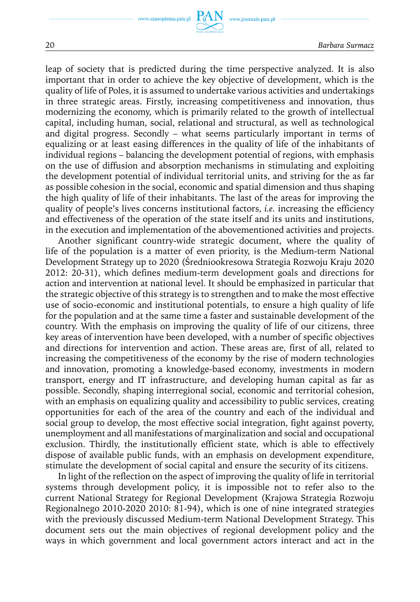www.journals.pan.pl

leap of society that is predicted during the time perspective analyzed. It is also important that in order to achieve the key objective of development, which is the quality of life of Poles, it is assumed to undertake various activities and undertakings in three strategic areas. Firstly, increasing competitiveness and innovation, thus modernizing the economy, which is primarily related to the growth of intellectual capital, including human, social, relational and structural, as well as technological and digital progress. Secondly – what seems particularly important in terms of equalizing or at least easing differences in the quality of life of the inhabitants of individual regions – balancing the development potential of regions, with emphasis on the use of diffusion and absorption mechanisms in stimulating and exploiting the development potential of individual territorial units, and striving for the as far as possible cohesion in the social, economic and spatial dimension and thus shaping the high quality of life of their inhabitants. The last of the areas for improving the quality of people's lives concerns institutional factors, *i.e.* increasing the efficiency and effectiveness of the operation of the state itself and its units and institutions, in the execution and implementation of the abovementioned activities and projects.

Another significant country-wide strategic document, where the quality of life of the population is a matter of even priority, is the Medium-term National Development Strategy up to 2020 (Średniookresowa Strategia Rozwoju Kraju 2020 2012: 20-31), which defines medium-term development goals and directions for action and intervention at national level. It should be emphasized in particular that the strategic objective of this strategy is to strengthen and to make the most effective use of socio-economic and institutional potentials, to ensure a high quality of life for the population and at the same time a faster and sustainable development of the country. With the emphasis on improving the quality of life of our citizens, three key areas of intervention have been developed, with a number of specific objectives and directions for intervention and action. These areas are, first of all, related to increasing the competitiveness of the economy by the rise of modern technologies and innovation, promoting a knowledge-based economy, investments in modern transport, energy and IT infrastructure, and developing human capital as far as possible. Secondly, shaping interregional social, economic and territorial cohesion, with an emphasis on equalizing quality and accessibility to public services, creating opportunities for each of the area of the country and each of the individual and social group to develop, the most effective social integration, fight against poverty, unemployment and all manifestations of marginalization and social and occupational exclusion. Thirdly, the institutionally efficient state, which is able to effectively dispose of available public funds, with an emphasis on development expenditure, stimulate the development of social capital and ensure the security of its citizens.

In light of the reflection on the aspect of improving the quality of life in territorial systems through development policy, it is impossible not to refer also to the current National Strategy for Regional Development (Krajowa Strategia Rozwoju Regionalnego 2010-2020 2010: 81-94), which is one of nine integrated strategies with the previously discussed Medium-term National Development Strategy. This document sets out the main objectives of regional development policy and the ways in which government and local government actors interact and act in the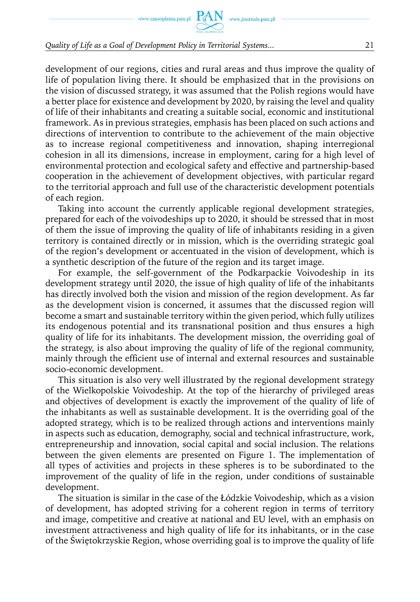development of our regions, cities and rural areas and thus improve the quality of life of population living there. It should be emphasized that in the provisions on the vision of discussed strategy, it was assumed that the Polish regions would have a better place for existence and development by 2020, by raising the level and quality of life of their inhabitants and creating a suitable social, economic and institutional framework. As in previous strategies, emphasis has been placed on such actions and directions of intervention to contribute to the achievement of the main objective as to increase regional competitiveness and innovation, shaping interregional cohesion in all its dimensions, increase in employment, caring for a high level of environmental protection and ecological safety and effective and partnership-based cooperation in the achievement of development objectives, with particular regard to the territorial approach and full use of the characteristic development potentials of each region.

Taking into account the currently applicable regional development strategies, prepared for each of the voivodeships up to 2020, it should be stressed that in most of them the issue of improving the quality of life of inhabitants residing in a given territory is contained directly or in mission, which is the overriding strategic goal of the region's development or accentuated in the vision of development, which is a synthetic description of the future of the region and its target image.

For example, the self-government of the Podkarpackie Voivodeship in its development strategy until 2020, the issue of high quality of life of the inhabitants has directly involved both the vision and mission of the region development. As far as the development vision is concerned, it assumes that the discussed region will become a smart and sustainable territory within the given period, which fully utilizes its endogenous potential and its transnational position and thus ensures a high quality of life for its inhabitants. The development mission, the overriding goal of the strategy, is also about improving the quality of life of the regional community, mainly through the efficient use of internal and external resources and sustainable socio-economic development.

This situation is also very well illustrated by the regional development strategy of the Wielkopolskie Voivodeship. At the top of the hierarchy of privileged areas and objectives of development is exactly the improvement of the quality of life of the inhabitants as well as sustainable development. It is the overriding goal of the adopted strategy, which is to be realized through actions and interventions mainly in aspects such as education, demography, social and technical infrastructure, work, entrepreneurship and innovation, social capital and social inclusion. The relations between the given elements are presented on Figure 1. The implementation of all types of activities and projects in these spheres is to be subordinated to the improvement of the quality of life in the region, under conditions of sustainable development.

The situation is similar in the case of the Łódzkie Voivodeship, which as a vision of development, has adopted striving for a coherent region in terms of territory and image, competitive and creative at national and EU level, with an emphasis on investment attractiveness and high quality of life for its inhabitants, or in the case of the Świętokrzyskie Region, whose overriding goal is to improve the quality of life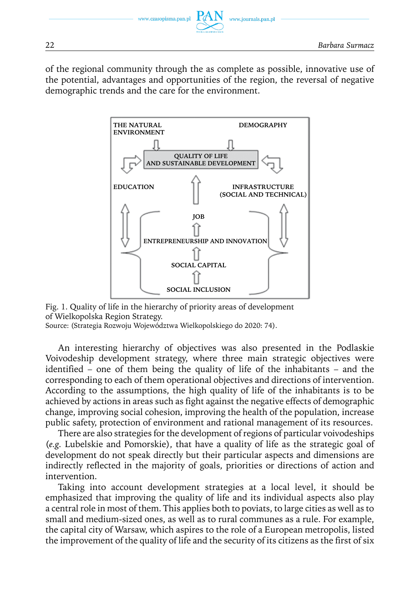of the regional community through the as complete as possible, innovative use of the potential, advantages and opportunities of the region, the reversal of negative demographic trends and the care for the environment.





Source: (Strategia Rozwoju Województwa Wielkopolskiego do 2020: 74).

An interesting hierarchy of objectives was also presented in the Podlaskie Voivodeship development strategy, where three main strategic objectives were identified – one of them being the quality of life of the inhabitants – and the corresponding to each of them operational objectives and directions of intervention. According to the assumptions, the high quality of life of the inhabitants is to be achieved by actions in areas such as fight against the negative effects of demographic change, improving social cohesion, improving the health of the population, increase public safety, protection of environment and rational management of its resources.

There are also strategies for the development of regions of particular voivodeships (*e.g.* Lubelskie and Pomorskie), that have a quality of life as the strategic goal of development do not speak directly but their particular aspects and dimensions are indirectly reflected in the majority of goals, priorities or directions of action and intervention.

Taking into account development strategies at a local level, it should be emphasized that improving the quality of life and its individual aspects also play a central role in most of them. This applies both to poviats, to large cities as well as to small and medium-sized ones, as well as to rural communes as a rule. For example, the capital city of Warsaw, which aspires to the role of a European metropolis, listed the improvement of the quality of life and the security of its citizens as the first of six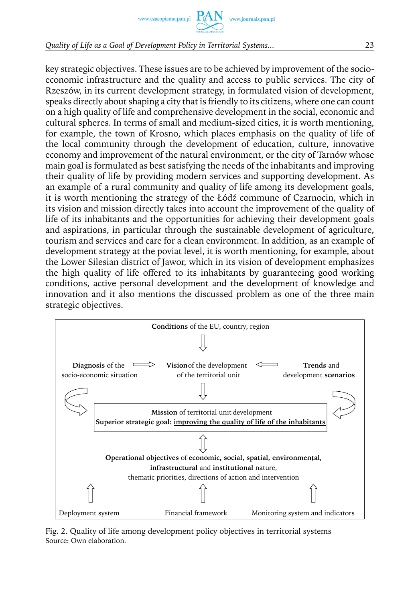www.czasopisma.pan.pl  $\Gamma$ 

*Quality of Life as a Goal of Development Policy in Territorial Systems...* 23

key strategic objectives. These issues are to be achieved by improvement of the socioeconomic infrastructure and the quality and access to public services. The city of Rzeszów, in its current development strategy, in formulated vision of development, speaks directly about shaping a city that is friendly to its citizens, where one can count on a high quality of life and comprehensive development in the social, economic and cultural spheres. In terms of small and medium-sized cities, it is worth mentioning, for example, the town of Krosno, which places emphasis on the quality of life of the local community through the development of education, culture, innovative economy and improvement of the natural environment, or the city of Tarnów whose main goal is formulated as best satisfying the needs of the inhabitants and improving their quality of life by providing modern services and supporting development. As an example of a rural community and quality of life among its development goals, it is worth mentioning the strategy of the Łódź commune of Czarnocin, which in its vision and mission directly takes into account the improvement of the quality of life of its inhabitants and the opportunities for achieving their development goals and aspirations, in particular through the sustainable development of agriculture, tourism and services and care for a clean environment. In addition, as an example of development strategy at the poviat level, it is worth mentioning, for example, about the Lower Silesian district of Jawor, which in its vision of development emphasizes the high quality of life offered to its inhabitants by guaranteeing good working conditions, active personal development and the development of knowledge and innovation and it also mentions the discussed problem as one of the three main strategic objectives.



Fig. 2. Quality of life among development policy objectives in territorial systems Source: Own elaboration.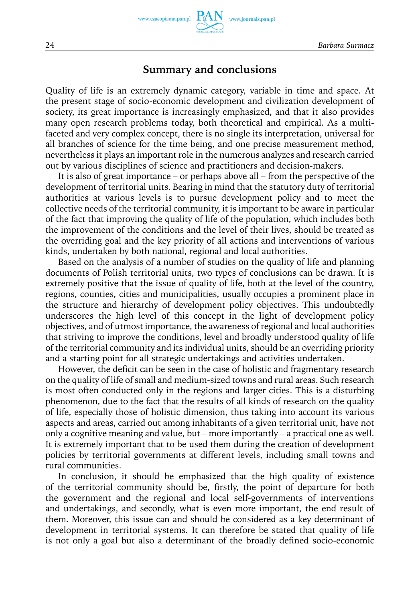

www.journals.pan.pl

### **Summary and conclusions**

Quality of life is an extremely dynamic category, variable in time and space. At the present stage of socio-economic development and civilization development of society, its great importance is increasingly emphasized, and that it also provides many open research problems today, both theoretical and empirical. As a multifaceted and very complex concept, there is no single its interpretation, universal for all branches of science for the time being, and one precise measurement method, nevertheless it plays an important role in the numerous analyzes and research carried out by various disciplines of science and practitioners and decision-makers.

It is also of great importance – or perhaps above all – from the perspective of the development of territorial units. Bearing in mind that the statutory duty of territorial authorities at various levels is to pursue development policy and to meet the collective needs of the territorial community, it is important to be aware in particular of the fact that improving the quality of life of the population, which includes both the improvement of the conditions and the level of their lives, should be treated as the overriding goal and the key priority of all actions and interventions of various kinds, undertaken by both national, regional and local authorities.

Based on the analysis of a number of studies on the quality of life and planning documents of Polish territorial units, two types of conclusions can be drawn. It is extremely positive that the issue of quality of life, both at the level of the country, regions, counties, cities and municipalities, usually occupies a prominent place in the structure and hierarchy of development policy objectives. This undoubtedly underscores the high level of this concept in the light of development policy objectives, and of utmost importance, the awareness of regional and local authorities that striving to improve the conditions, level and broadly understood quality of life of the territorial community and its individual units, should be an overriding priority and a starting point for all strategic undertakings and activities undertaken.

However, the deficit can be seen in the case of holistic and fragmentary research on the quality of life of small and medium-sized towns and rural areas. Such research is most often conducted only in the regions and larger cities. This is a disturbing phenomenon, due to the fact that the results of all kinds of research on the quality of life, especially those of holistic dimension, thus taking into account its various aspects and areas, carried out among inhabitants of a given territorial unit, have not only a cognitive meaning and value, but – more importantly – a practical one as well. It is extremely important that to be used them during the creation of development policies by territorial governments at different levels, including small towns and rural communities.

In conclusion, it should be emphasized that the high quality of existence of the territorial community should be, firstly, the point of departure for both the government and the regional and local self-governments of interventions and undertakings, and secondly, what is even more important, the end result of them. Moreover, this issue can and should be considered as a key determinant of development in territorial systems. It can therefore be stated that quality of life is not only a goal but also a determinant of the broadly defined socio-economic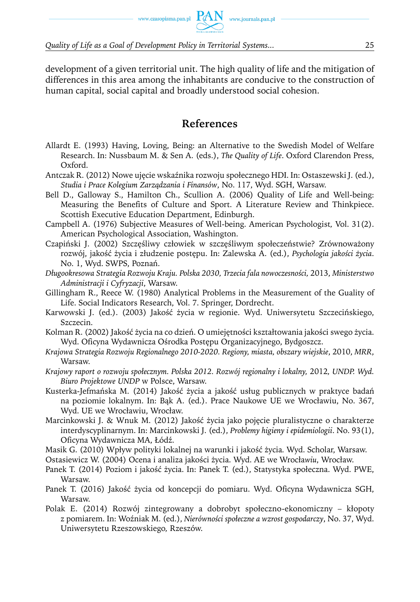development of a given territorial unit. The high quality of life and the mitigation of differences in this area among the inhabitants are conducive to the construction of human capital, social capital and broadly understood social cohesion.

### **References**

- Allardt E. (1993) Having, Loving, Being: an Alternative to the Swedish Model of Welfare Research. In: Nussbaum M. & Sen A. (eds.), *The Quality of Life*. Oxford Clarendon Press, Oxford.
- Antczak R. (2012) Nowe ujęcie wskaźnika rozwoju społecznego HDI. In: Ostaszewski J. (ed.), *Studia i Prace Kolegium Zarządzania i Finansów*, No. 117, Wyd. SGH, Warsaw.
- Bell D., Galloway S., Hamilton Ch., Scullion A. (2006) Quality of Life and Well-being: Measuring the Benefits of Culture and Sport. A Literature Review and Thinkpiece. Scottish Executive Education Department, Edinburgh.
- Campbell A. (1976) Subjective Measures of Well-being. American Psychologist*,* Vol. 31(2). American Psychological Association, Washington.
- Czapiński J. (2002) Szczęśliwy człowiek w szczęśliwym społeczeństwie? Zrównoważony rozwój, jakość życia i złudzenie postępu. In: Zalewska A. (ed.), *Psychologia jakości życia*. No. 1, Wyd. SWPS, Poznań.
- *Długookresowa Strategia Rozwoju Kraju. Polska 2030, Trzecia fala nowoczesności,* 2013, *Ministerstwo Administracji i Cyfryzacji*, Warsaw.
- Gillingham R., Reece W. (1980) Analytical Problems in the Measurement of the Guality of Life. Social Indicators Research, Vol. 7. Springer, Dordrecht.
- Karwowski J. (ed.). (2003) Jakość życia w regionie. Wyd. Uniwersytetu Szczecińskiego, Szczecin.
- Kolman R. (2002) Jakość życia na co dzień. O umiejętności kształtowania jakości swego życia. Wyd. Oficyna Wydawnicza Ośrodka Postępu Organizacyjnego, Bydgoszcz.
- *Krajowa Strategia Rozwoju Regionalnego 2010-2020. Regiony, miasta, obszary wiejskie*, 2010, *MRR*, Warsaw.
- *Krajowy raport o rozwoju społecznym. Polska 2012. Rozwój regionalny i lokalny,* 2012*, UNDP. Wyd. Biuro Projektowe UNDP* w Polsce, Warsaw.
- Kusterka-Jefmańska M. (2014) Jakość życia a jakość usług publicznych w praktyce badań na poziomie lokalnym. In: Bąk A. (ed.). Prace Naukowe UE we Wrocławiu, No. 367, Wyd. UE we Wrocławiu, Wrocław.
- Marcinkowski J. & Wnuk M. (2012) Jakość życia jako pojęcie pluralistyczne o charakterze interdyscyplinarnym. In: Marcinkowski J. (ed.), *Problemy higieny i epidemiologii*. No. 93(1), Oficyna Wydawnicza MA, Łódź.
- Masik G. (2010) Wpływ polityki lokalnej na warunki i jakość życia*.* Wyd. Scholar, Warsaw.

Ostasiewicz W. (2004) Ocena i analiza jakości życia. Wyd. AE we Wrocła*wiu*, Wrocław.

- Panek T. (2014) Poziom i jakość życia. In: Panek T. (ed.), Statystyka społeczna. Wyd. PWE, Warsaw.
- Panek T. (2016) Jakość życia od koncepcji do pomiaru. Wyd. Oficyna Wydawnicza SGH, Warsaw.
- Polak E. (2014) Rozwój zintegrowany a dobrobyt społeczno-ekonomiczny kłopoty z pomiarem. In: Woźniak M. (ed.), *Nierówności społeczne a wzrost gospodarczy*, No. 37, Wyd. Uniwersytetu Rzeszowskiego*,* Rzeszów.